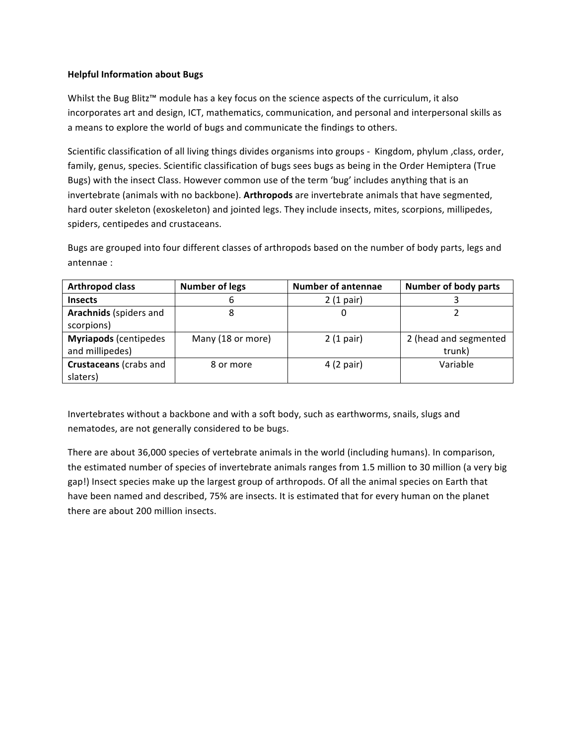## **Helpful Information about Bugs**

Whilst the Bug Blitz™ module has a key focus on the science aspects of the curriculum, it also incorporates art and design, ICT, mathematics, communication, and personal and interpersonal skills as a means to explore the world of bugs and communicate the findings to others.

Scientific classification of all living things divides organisms into groups - Kingdom, phylum ,class, order, family, genus, species. Scientific classification of bugs sees bugs as being in the Order Hemiptera (True Bugs) with the insect Class. However common use of the term 'bug' includes anything that is an invertebrate (animals with no backbone). Arthropods are invertebrate animals that have segmented, hard outer skeleton (exoskeleton) and jointed legs. They include insects, mites, scorpions, millipedes, spiders, centipedes and crustaceans.

Bugs are grouped into four different classes of arthropods based on the number of body parts, legs and antennae :

| <b>Arthropod class</b>       | <b>Number of legs</b> | <b>Number of antennae</b> | <b>Number of body parts</b> |
|------------------------------|-----------------------|---------------------------|-----------------------------|
| <b>Insects</b>               | b                     | 2(1 pair)                 |                             |
| Arachnids (spiders and       |                       | 0                         |                             |
| scorpions)                   |                       |                           |                             |
| <b>Myriapods</b> (centipedes | Many (18 or more)     | 2(1 pair)                 | 2 (head and segmented       |
| and millipedes)              |                       |                           | trunk)                      |
| Crustaceans (crabs and       | 8 or more             | 4 (2 pair)                | Variable                    |
| slaters)                     |                       |                           |                             |

Invertebrates without a backbone and with a soft body, such as earthworms, snails, slugs and nematodes, are not generally considered to be bugs.

There are about 36,000 species of vertebrate animals in the world (including humans). In comparison, the estimated number of species of invertebrate animals ranges from 1.5 million to 30 million (a very big gap!) Insect species make up the largest group of arthropods. Of all the animal species on Earth that have been named and described, 75% are insects. It is estimated that for every human on the planet there are about 200 million insects.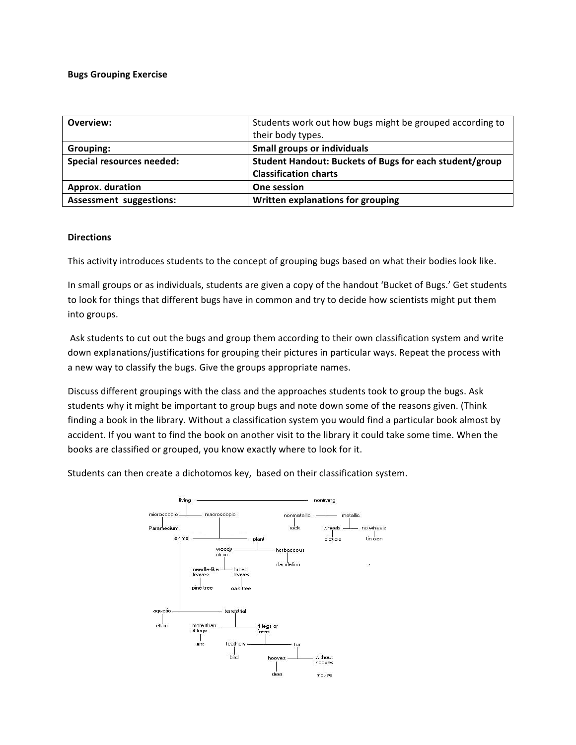## **Bugs Grouping Exercise**

| Overview:                        | Students work out how bugs might be grouped according to |  |
|----------------------------------|----------------------------------------------------------|--|
|                                  | their body types.                                        |  |
| Grouping:                        | <b>Small groups or individuals</b>                       |  |
| <b>Special resources needed:</b> | Student Handout: Buckets of Bugs for each student/group  |  |
|                                  | <b>Classification charts</b>                             |  |
| Approx. duration                 | One session                                              |  |
| <b>Assessment suggestions:</b>   | Written explanations for grouping                        |  |

## **Directions**

This activity introduces students to the concept of grouping bugs based on what their bodies look like.

In small groups or as individuals, students are given a copy of the handout 'Bucket of Bugs.' Get students to look for things that different bugs have in common and try to decide how scientists might put them into groups.

Ask students to cut out the bugs and group them according to their own classification system and write down explanations/justifications for grouping their pictures in particular ways. Repeat the process with a new way to classify the bugs. Give the groups appropriate names.

Discuss different groupings with the class and the approaches students took to group the bugs. Ask students why it might be important to group bugs and note down some of the reasons given. (Think finding a book in the library. Without a classification system you would find a particular book almost by accident. If you want to find the book on another visit to the library it could take some time. When the books are classified or grouped, you know exactly where to look for it.

Students can then create a dichotomos key, based on their classification system.